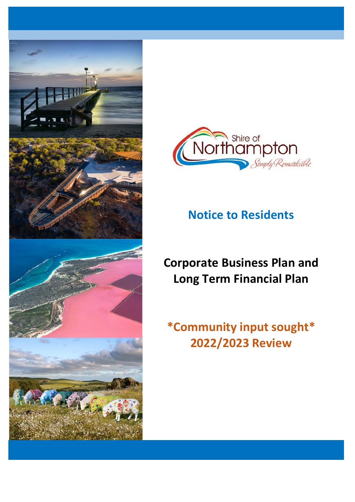



# **Notice to Residents**

# **Corporate Business Plan and Long Term Financial Plan**

# **\*Community input sought\* 2022/2023 Review**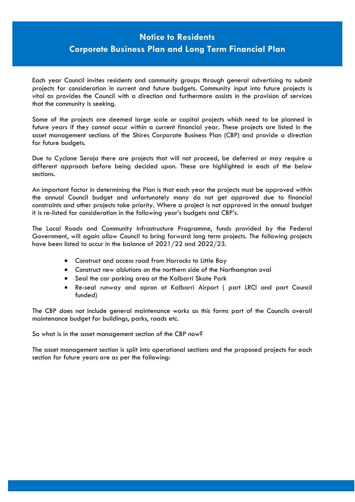# **Notice to Residents**

# **Corporate Business Plan and Long Term Financial Plan**

Each year Council invites residents and community groups through general advertising to submit projects for consideration in current and future budgets. Community input into future projects is vital as provides the Council with a direction and furthermore assists in the provision of services that the community is seeking.

Some of the projects are deemed large scale or capital projects which need to be planned in future years if they cannot occur within a current financial year. These projects are listed in the asset management sections of the Shires Corporate Business Plan (CBP) and provide a direction for future budgets.

Due to Cyclone Seroja there are projects that will not proceed, be deferred or may require a different approach before being decided upon. These are highlighted in each of the below sections.

An important factor in determining the Plan is that each year the projects must be approved within the annual Council budget and unfortunately many do not get approved due to financial constraints and other projects take priority. Where a project is not approved in the annual budget it is re-listed for consideration in the following year's budgets and CBP's.

The Local Roads and Community Infrastructure Programme, funds provided by the Federal Government, will again allow Council to bring forward long term projects. The following projects have been listed to occur in the balance of 2021/22 and 2022/23.

- Construct and access road from Horrocks to Little Bay
- Construct new ablutions on the northern side of the Northampton oval
- Seal the car parking area at the Kalbarri Skate Park
- Re-seal runway and apron at Kalbarri Airport ( part LRCI and part Council funded)

The CBP does not include general maintenance works as this forms part of the Councils overall maintenance budget for buildings, parks, roads etc.

So what is in the asset management section of the CBP now?

The asset management section is split into operational sections and the proposed projects for each section for future years are as per the following: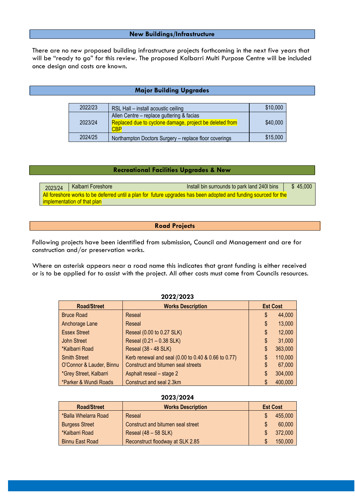#### **New Buildings/Infrastructure**

There are no new proposed building infrastructure projects forthcoming in the next five years that will be "ready to go" for this review. The proposed Kalbarri Multi Purpose Centre will be included once design and costs are known.

### **Major Building Upgrades**

| 2022/23 | RSL Hall - install acoustic ceiling                                                                                | \$10,000 |
|---------|--------------------------------------------------------------------------------------------------------------------|----------|
| 2023/24 | Allen Centre - replace guttering & facias<br>Replaced due to cyclone damage, project be deleted from<br><b>CBP</b> | \$40,000 |
| 2024/25 | Northampton Doctors Surgery - replace floor coverings                                                              | \$15,000 |

#### **Recreational Facilities Upgrades & New**

2023/24 Kalbarri Foreshore **Install bin surrounds to park land 240l bins** \$ 45,000 All foreshore works to be deferred until a plan for future upgrades has been adopted and funding sourced for the implementation of that plan

#### **Road Projects**

Following projects have been identified from submission, Council and Management and are for construction and/or preservation works.

Where an asterisk appears near a road name this indicates that grant funding is either received or is to be applied for to assist with the project. All other costs must come from Councils resources.

| ZUZZIZUZJ                |                                                     |    |                 |  |  |
|--------------------------|-----------------------------------------------------|----|-----------------|--|--|
| <b>Road/Street</b>       | <b>Works Description</b>                            |    | <b>Est Cost</b> |  |  |
| <b>Bruce Road</b>        | Reseal                                              | \$ | 44,000          |  |  |
| Anchorage Lane           | Reseal                                              | \$ | 13,000          |  |  |
| <b>Essex Street</b>      | Reseal (0.00 to 0.27 SLK)                           | \$ | 12,000          |  |  |
| John Street              | Reseal (0.21 - 0.38 SLK)                            | \$ | 31,000          |  |  |
| *Kalbarri Road           | Reseal (38 - 48 SLK)                                | \$ | 363,000         |  |  |
| <b>Smith Street</b>      | Kerb renewal and seal (0.00 to 0.40 & 0.66 to 0.77) | \$ | 110,000         |  |  |
| O'Connor & Lauder, Binnu | Construct and bitumen seal streets                  | \$ | 67,000          |  |  |
| *Grey Street, Kalbarri   | Asphalt reseal – stage 2                            | \$ | 304,000         |  |  |
| *Parker & Wundi Roads    | Construct and seal 2.3km                            |    | 400,000         |  |  |

**2022/2023**

| ZUZJIZUZ <del>T</del>  |                                   |  |                 |  |
|------------------------|-----------------------------------|--|-----------------|--|
| <b>Road/Street</b>     | <b>Works Description</b>          |  | <b>Est Cost</b> |  |
| *Balla Whelarra Road   | Reseal                            |  | 455,000         |  |
| <b>Burgess Street</b>  | Construct and bitumen seal street |  | 60,000          |  |
| *Kalbarri Road         | Reseal $(48 - 58$ SLK)            |  | 372,000         |  |
| <b>Binnu East Road</b> | Reconstruct floodway at SLK 2.85  |  | 150,000         |  |

## **2023/2024**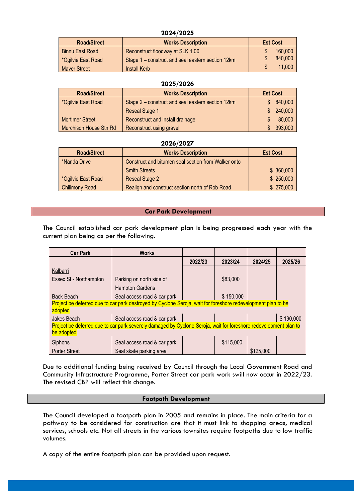#### **2024/2025**

| <b>Road/Street</b>     | <b>Works Description</b>                          | <b>Est Cost</b> |
|------------------------|---------------------------------------------------|-----------------|
| <b>Binnu East Road</b> | Reconstruct floodway at SLK 1.00                  | 160,000         |
| *Ogilvie East Road     | Stage 1 – construct and seal eastern section 12km | 840,000         |
| <b>Maver Street</b>    | <b>Install Kerb</b>                               | 11,000          |

| 2025/2026              |                                                   |                 |         |  |
|------------------------|---------------------------------------------------|-----------------|---------|--|
| <b>Road/Street</b>     | <b>Works Description</b>                          | <b>Est Cost</b> |         |  |
| *Ogilvie East Road     | Stage 2 – construct and seal eastern section 12km | \$.             | 840,000 |  |
|                        | <b>Reseal Stage 1</b>                             | S.              | 240,000 |  |
| <b>Mortimer Street</b> | Reconstruct and install drainage                  |                 | 80,000  |  |
| Murchison House Stn Rd | Reconstruct using gravel                          | \$              | 393,000 |  |

#### **2026/2027**

| <b>Road/Street</b>    | <b>Works Description</b>                            | <b>Est Cost</b> |
|-----------------------|-----------------------------------------------------|-----------------|
| *Nanda Drive          | Construct and bitumen seal section from Walker onto |                 |
|                       | <b>Smith Streets</b>                                | \$360,000       |
| *Ogilvie East Road    | <b>Reseal Stage 2</b>                               | \$250,000       |
| <b>Chilimony Road</b> | Realign and construct section north of Rob Road     | \$275,000       |

## **Car Park Development**

The Council established car park development plan is being progressed each year with the current plan being as per the following.

| <b>Car Park</b>        | <b>Works</b>                                                                                                     |         |           |           |           |
|------------------------|------------------------------------------------------------------------------------------------------------------|---------|-----------|-----------|-----------|
|                        |                                                                                                                  | 2022/23 | 2023/24   | 2024/25   | 2025/26   |
| Kalbarri               |                                                                                                                  |         |           |           |           |
| Essex St - Northampton | Parking on north side of                                                                                         |         | \$83,000  |           |           |
|                        | <b>Hampton Gardens</b>                                                                                           |         |           |           |           |
| <b>Back Beach</b>      | Seal access road & car park                                                                                      |         | \$150,000 |           |           |
|                        | Project be deferred due to car park destroyed by Cyclone Seroja, wait for foreshore redevelopment plan to be     |         |           |           |           |
| adopted                |                                                                                                                  |         |           |           |           |
| Jakes Beach            | Seal access road & car park                                                                                      |         |           |           | \$190,000 |
|                        | Project be deferred due to car park severely damaged by Cyclone Seroja, wait for foreshore redevelopment plan to |         |           |           |           |
| be adopted             |                                                                                                                  |         |           |           |           |
| Siphons                | Seal access road & car park                                                                                      |         | \$115,000 |           |           |
| <b>Porter Street</b>   | Seal skate parking area                                                                                          |         |           | \$125,000 |           |

Due to additional funding being received by Council through the Local Government Road and Community Infrastructure Programme, Porter Street car park work swill now occur in 2022/23. The revised CBP will reflect this change.

### **Footpath Development**

The Council developed a footpath plan in 2005 and remains in place. The main criteria for a pathway to be considered for construction are that it must link to shopping areas, medical services, schools etc. Not all streets in the various townsites require footpaths due to low traffic volumes.

A copy of the entire footpath plan can be provided upon request.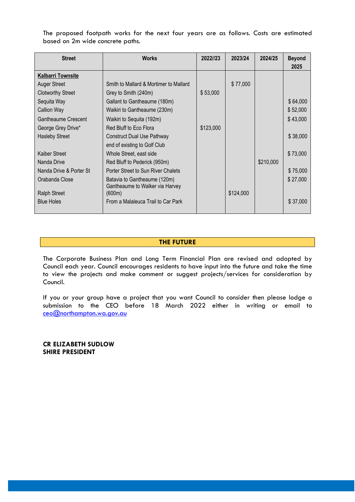The proposed footpath works for the next four years are as follows. Costs are estimated based on 2m wide concrete paths.

| <b>Street</b>              | <b>Works</b>                                                    | 2022//23  | 2023/24   | 2024/25   | <b>Beyond</b><br>2025 |
|----------------------------|-----------------------------------------------------------------|-----------|-----------|-----------|-----------------------|
| <b>Kalbarri Townsite</b>   |                                                                 |           |           |           |                       |
| <b>Auger Street</b>        | Smith to Mallard & Mortimer to Mallard                          |           | \$77,000  |           |                       |
| <b>Clotworthy Street</b>   | Grey to Smith (240m)                                            | \$53,000  |           |           |                       |
| Sequita Way                | Gallant to Gantheaume (180m)                                    |           |           |           | \$64,000              |
| <b>Callion Way</b>         | Waikiri to Gantheaume (230m)                                    |           |           |           | \$52,000              |
| <b>Gantheaume Crescent</b> | Waikiri to Sequita (192m)                                       |           |           |           | \$43,000              |
| George Grey Drive*         | Red Bluff to Eco Flora                                          | \$123,000 |           |           |                       |
| <b>Hasleby Street</b>      | <b>Construct Dual Use Pathway</b>                               |           |           |           | \$38,000              |
|                            | end of existing to Golf Club                                    |           |           |           |                       |
| Kaiber Street              | Whole Street, east side                                         |           |           |           | \$73,000              |
| Nanda Drive                | Red Bluff to Pederick (950m)                                    |           |           | \$210,000 |                       |
| Nanda Drive & Porter St    | Porter Street to Sun River Chalets                              |           |           |           | \$75,000              |
| Orabanda Close             | Batavia to Gantheaume (120m)<br>Gantheaume to Walker via Harvey |           |           |           | \$27,000              |
| <b>Ralph Street</b>        | (600m)                                                          |           | \$124,000 |           |                       |
| <b>Blue Holes</b>          | From a Malaleuca Trail to Car Park                              |           |           |           | \$37,000              |

#### **THE FUTURE**

The Corporate Business Plan and Long Term Financial Plan are revised and adopted by Council each year. Council encourages residents to have input into the future and take the time to view the projects and make comment or suggest projects/services for consideration by Council.

If you or your group have a project that you want Council to consider then please lodge a submission to the CEO before 18 March 2022 either in writing or email to [ceo@northampton.wa.gov.au](mailto:ceo@northampton.wa.gov.au)

**CR ELIZABETH SUDLOW SHIRE PRESIDENT**